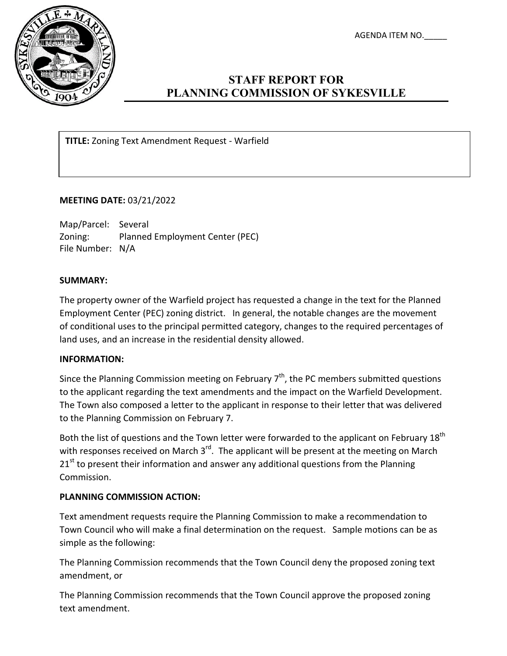AGENDA ITEM NO.\_\_\_\_\_



# **STAFF REPORT FOR PLANNING COMMISSION OF SYKESVILLE**

**TITLE:** Zoning Text Amendment Request - Warfield

## **MEETING DATE:** 03/21/2022

Map/Parcel: Several Zoning: Planned Employment Center (PEC) File Number: N/A

## **SUMMARY:**

The property owner of the Warfield project has requested a change in the text for the Planned Employment Center (PEC) zoning district. In general, the notable changes are the movement of conditional uses to the principal permitted category, changes to the required percentages of land uses, and an increase in the residential density allowed.

### **INFORMATION:**

Since the Planning Commission meeting on February  $7<sup>th</sup>$ , the PC members submitted questions to the applicant regarding the text amendments and the impact on the Warfield Development. The Town also composed a letter to the applicant in response to their letter that was delivered to the Planning Commission on February 7.

Both the list of questions and the Town letter were forwarded to the applicant on February 18<sup>th</sup> with responses received on March 3<sup>rd</sup>. The applicant will be present at the meeting on March  $21<sup>st</sup>$  to present their information and answer any additional questions from the Planning Commission.

## **PLANNING COMMISSION ACTION:**

Text amendment requests require the Planning Commission to make a recommendation to Town Council who will make a final determination on the request. Sample motions can be as simple as the following:

The Planning Commission recommends that the Town Council deny the proposed zoning text amendment, or

The Planning Commission recommends that the Town Council approve the proposed zoning text amendment.